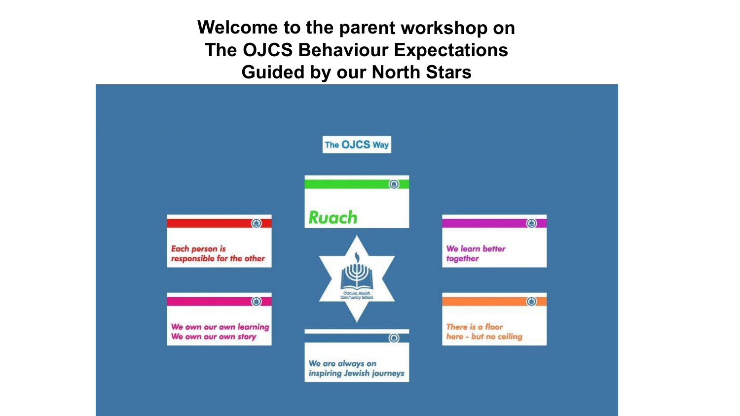**Welcome to the parent workshop on The OJCS Behaviour Expectations Guided by our North Stars**

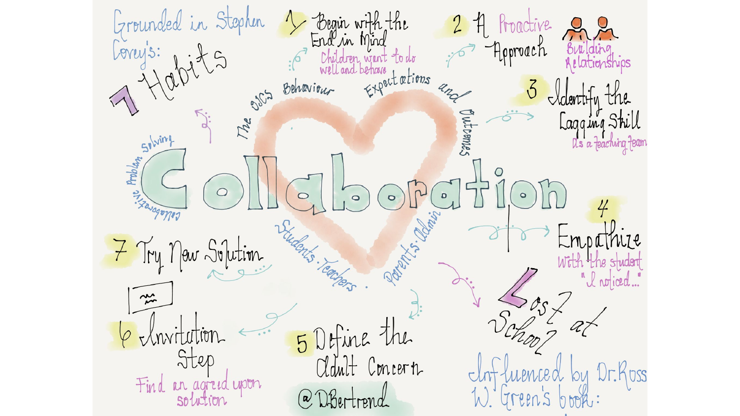Begin with the<br>End in Mind<br>Children want to do<br>well and behave<br>Expect ations Trounded in Stephen  $24$ Building<br>Relationships Approach Benavious Meg orts Sclentify the Lagging Shill Outcomes Solving REAGANAS  $\circ$  $\circ$ min **Students** 7 Try New Solution · Teac "I noticed..."  $\approx$ 5 Défine t oo, Mh Step Oldult Concert  $D<sub>r</sub>K<sub>0</sub>ss$ Find an agreed upon Green's DBertrend solution  $\left(\boldsymbol{\omega}\right)$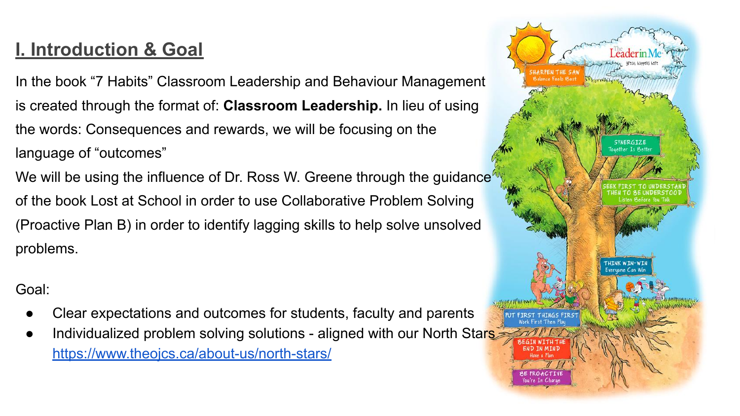# **I. Introduction & Goal**

In the book "7 Habits" Classroom Leadership and Behaviour Management is created through the format of: **Classroom Leadership.** In lieu of using the words: Consequences and rewards, we will be focusing on the language of "outcomes" We will be using the influence of Dr. Ross W. Greene through the guidance of the book Lost at School in order to use Collaborative Problem Solving (Proactive Plan B) in order to identify lagging skills to help solve unsolved

problems.

Goal:

- Clear expectations and outcomes for students, faculty and parents
- Individualized problem solving solutions aligned with our North Stars <https://www.theojcs.ca/about-us/north-stars/>

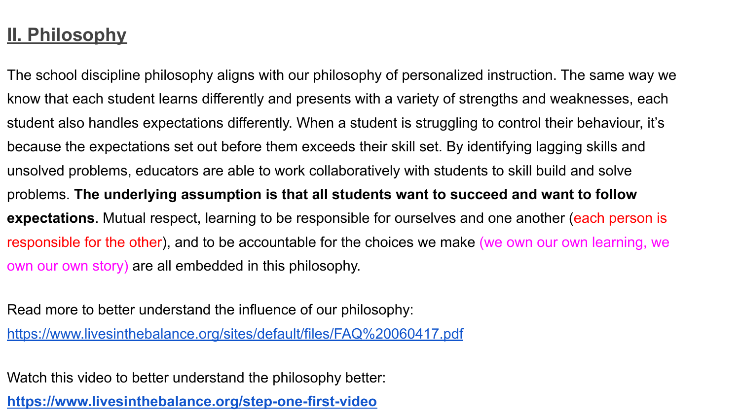# **II. Philosophy**

The school discipline philosophy aligns with our philosophy of personalized instruction. The same way we know that each student learns differently and presents with a variety of strengths and weaknesses, each student also handles expectations differently. When a student is struggling to control their behaviour, it's because the expectations set out before them exceeds their skill set. By identifying lagging skills and unsolved problems, educators are able to work collaboratively with students to skill build and solve problems. **The underlying assumption is that all students want to succeed and want to follow expectations**. Mutual respect, learning to be responsible for ourselves and one another (each person is responsible for the other), and to be accountable for the choices we make (we own our own learning, we own our own story) are all embedded in this philosophy.

Read more to better understand the influence of our philosophy: <https://www.livesinthebalance.org/sites/default/files/FAQ%20060417.pdf>

Watch this video to better understand the philosophy better: **<https://www.livesinthebalance.org/step-one-first-video>**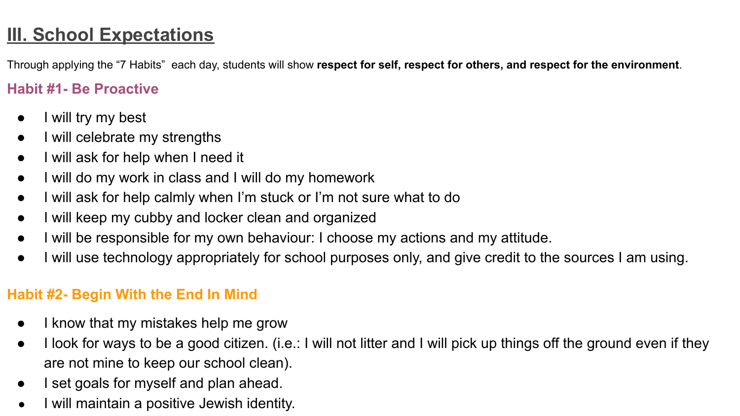# **III. School Expectations**

Through applying the "7 Habits" each day, students will show **respect for self, respect for others, and respect for the environment**.

### **Habit #1- Be Proactive**

- I will try my best
- I will celebrate my strengths
- I will ask for help when I need it
- I will do my work in class and I will do my homework
- I will ask for help calmly when I'm stuck or I'm not sure what to do
- I will keep my cubby and locker clean and organized
- I will be responsible for my own behaviour: I choose my actions and my attitude.
- I will use technology appropriately for school purposes only, and give credit to the sources I am using.

### **Habit #2- Begin With the End In Mind**

- **●** I know that my mistakes help me grow
- I look for ways to be a good citizen. (i.e.: I will not litter and I will pick up things off the ground even if they are not mine to keep our school clean).
- I set goals for myself and plan ahead.
- I will maintain a positive Jewish identity.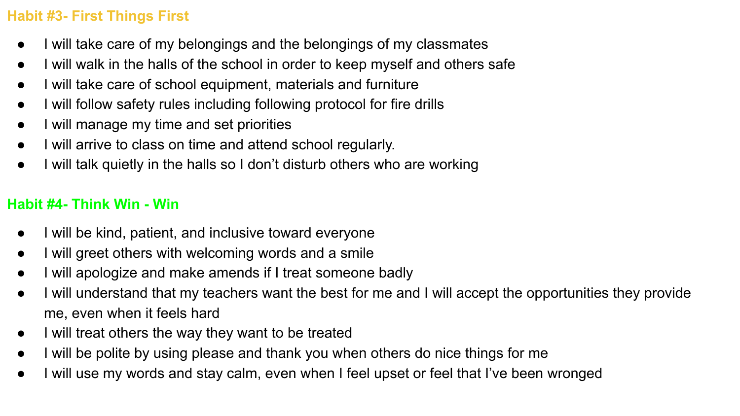#### **Habit #3- First Things First**

- **●** I will take care of my belongings and the belongings of my classmates
- I will walk in the halls of the school in order to keep myself and others safe
- I will take care of school equipment, materials and furniture
- I will follow safety rules including following protocol for fire drills
- I will manage my time and set priorities
- I will arrive to class on time and attend school regularly.
- I will talk quietly in the halls so I don't disturb others who are working

### **Habit #4- Think Win - Win**

- **●** I will be kind, patient, and inclusive toward everyone
- I will greet others with welcoming words and a smile
- I will apologize and make amends if I treat someone badly
- I will understand that my teachers want the best for me and I will accept the opportunities they provide me, even when it feels hard
- I will treat others the way they want to be treated
- I will be polite by using please and thank you when others do nice things for me
- I will use my words and stay calm, even when I feel upset or feel that I've been wronged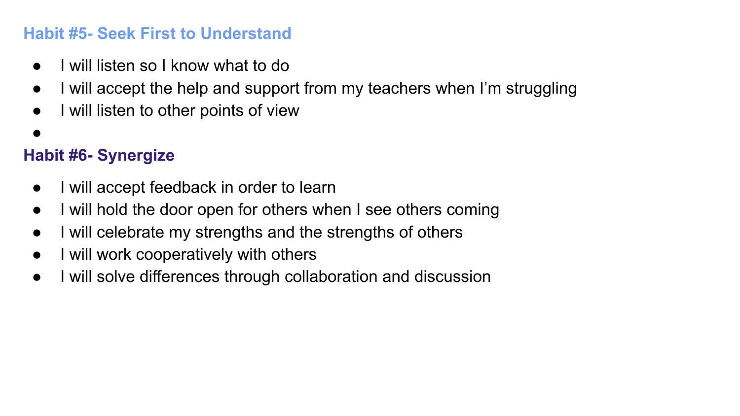## **Habit #5- Seek First to Understand**

- **●** I will listen so I know what to do
- I will accept the help and support from my teachers when I'm struggling
- I will listen to other points of view
- ●

# **Habit #6- Synergize**

- I will accept feedback in order to learn
- I will hold the door open for others when I see others coming
- I will celebrate my strengths and the strengths of others
- I will work cooperatively with others
- I will solve differences through collaboration and discussion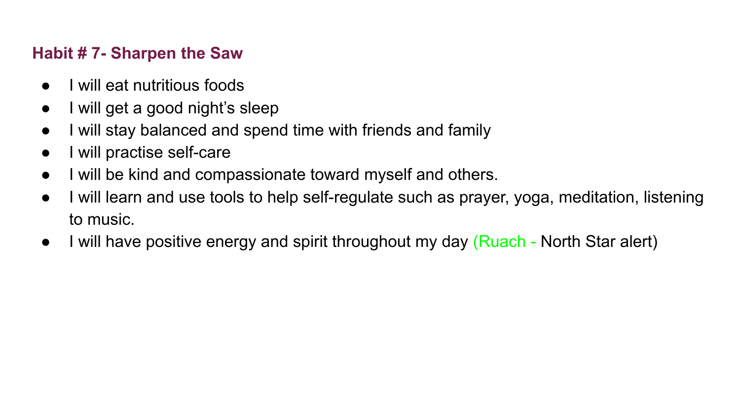## **Habit # 7- Sharpen the Saw**

- I will eat nutritious foods
- I will get a good night's sleep
- I will stay balanced and spend time with friends and family
- I will practise self-care
- I will be kind and compassionate toward myself and others.
- I will learn and use tools to help self-regulate such as prayer, yoga, meditation, listening to music.
- I will have positive energy and spirit throughout my day (Ruach North Star alert)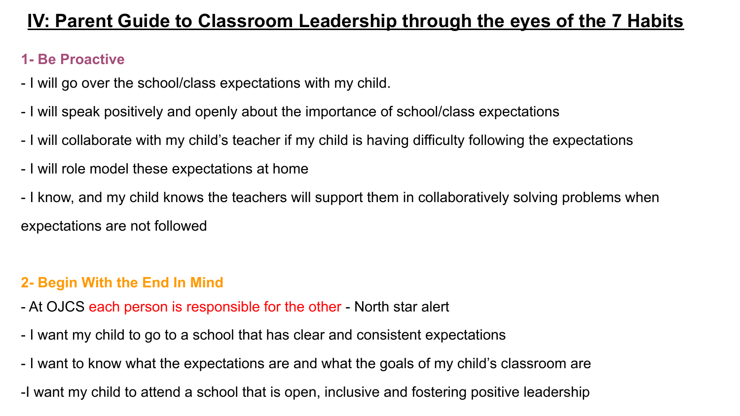# **IV: Parent Guide to Classroom Leadership through the eyes of the 7 Habits**

## **1- Be Proactive**

- I will go over the school/class expectations with my child.
- I will speak positively and openly about the importance of school/class expectations
- I will collaborate with my child's teacher if my child is having difficulty following the expectations
- I will role model these expectations at home
- I know, and my child knows the teachers will support them in collaboratively solving problems when expectations are not followed

### **2- Begin With the End In Mind**

- At OJCS each person is responsible for the other North star alert
- I want my child to go to a school that has clear and consistent expectations
- I want to know what the expectations are and what the goals of my child's classroom are
- -I want my child to attend a school that is open, inclusive and fostering positive leadership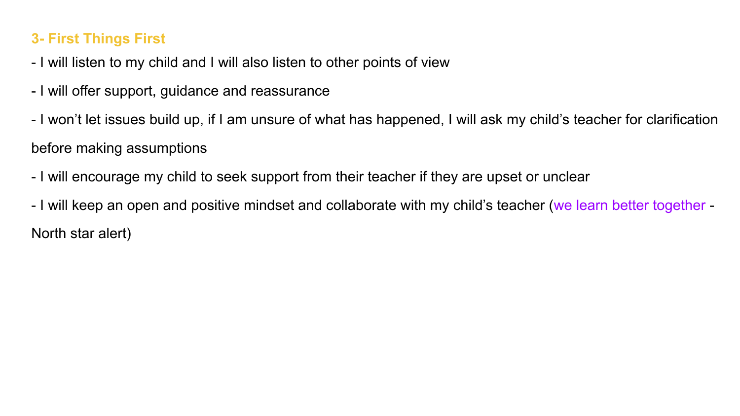### **3- First Things First**

- I will listen to my child and I will also listen to other points of view
- I will offer support, guidance and reassurance
- I won't let issues build up, if I am unsure of what has happened, I will ask my child's teacher for clarification before making assumptions
- I will encourage my child to seek support from their teacher if they are upset or unclear
- I will keep an open and positive mindset and collaborate with my child's teacher (we learn better together North star alert)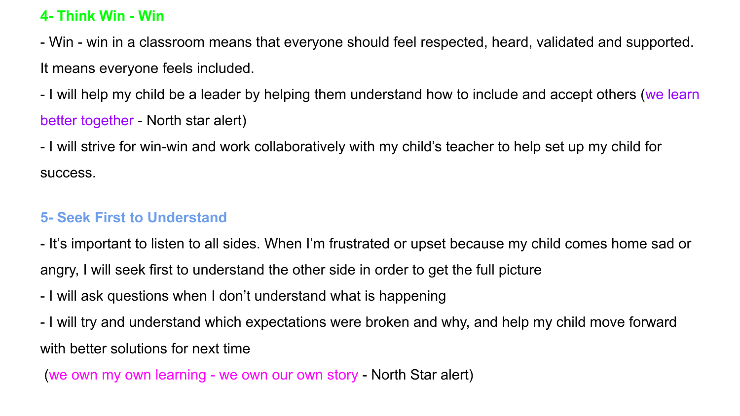#### **4- Think Win - Win**

- Win - win in a classroom means that everyone should feel respected, heard, validated and supported. It means everyone feels included.

- I will help my child be a leader by helping them understand how to include and accept others (we learn better together - North star alert)

- I will strive for win-win and work collaboratively with my child's teacher to help set up my child for success.

### **5- Seek First to Understand**

- It's important to listen to all sides. When I'm frustrated or upset because my child comes home sad or angry, I will seek first to understand the other side in order to get the full picture

- I will ask questions when I don't understand what is happening
- I will try and understand which expectations were broken and why, and help my child move forward with better solutions for next time

(we own my own learning - we own our own story - North Star alert)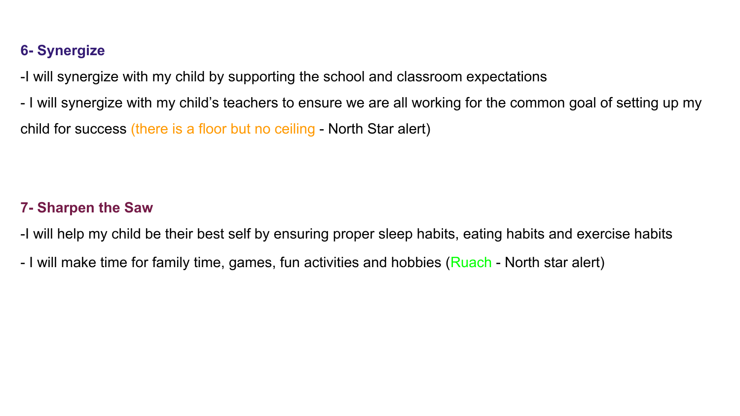### **6- Synergize**

-I will synergize with my child by supporting the school and classroom expectations

- I will synergize with my child's teachers to ensure we are all working for the common goal of setting up my child for success (there is a floor but no ceiling - North Star alert)

#### **7- Sharpen the Saw**

-I will help my child be their best self by ensuring proper sleep habits, eating habits and exercise habits

- I will make time for family time, games, fun activities and hobbies (Ruach - North star alert)